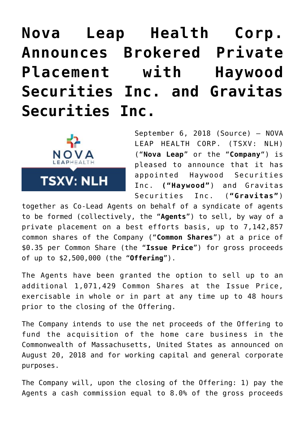## **[Nova Leap Health Corp.](https://investorintel.com/markets/biotech-healthcare/biotech-news/nova-leap-health-corp-announces-brokered-private-placement-haywood-securities-inc-gravitas-securities-inc-2/) [Announces Brokered Private](https://investorintel.com/markets/biotech-healthcare/biotech-news/nova-leap-health-corp-announces-brokered-private-placement-haywood-securities-inc-gravitas-securities-inc-2/) [Placement with Haywood](https://investorintel.com/markets/biotech-healthcare/biotech-news/nova-leap-health-corp-announces-brokered-private-placement-haywood-securities-inc-gravitas-securities-inc-2/) [Securities Inc. and Gravitas](https://investorintel.com/markets/biotech-healthcare/biotech-news/nova-leap-health-corp-announces-brokered-private-placement-haywood-securities-inc-gravitas-securities-inc-2/) [Securities Inc.](https://investorintel.com/markets/biotech-healthcare/biotech-news/nova-leap-health-corp-announces-brokered-private-placement-haywood-securities-inc-gravitas-securities-inc-2/)**



September 6, 2018 ([Source\)](https://investorintel.com/iintel-members/nova-leap-health-corp/) — NOVA LEAP HEALTH CORP. (TSXV: NLH) ("**Nova Leap**" or the "**Company**") is pleased to announce that it has appointed Haywood Securities Inc. **("Haywood"**) and Gravitas Securities Inc. (**"Gravitas"**)

together as Co-Lead Agents on behalf of a syndicate of agents to be formed (collectively, the "**Agents**") to sell, by way of a private placement on a best efforts basis, up to 7,142,857 common shares of the Company ("**Common Shares**") at a price of \$0.35 per Common Share (the "**Issue Price**") for gross proceeds of up to \$2,500,000 (the "**Offering**").

The Agents have been granted the option to sell up to an additional 1,071,429 Common Shares at the Issue Price, exercisable in whole or in part at any time up to 48 hours prior to the closing of the Offering.

The Company intends to use the net proceeds of the Offering to fund the acquisition of the home care business in the Commonwealth of Massachusetts, United States as announced on August 20, 2018 and for working capital and general corporate purposes.

The Company will, upon the closing of the Offering: 1) pay the Agents a cash commission equal to 8.0% of the gross proceeds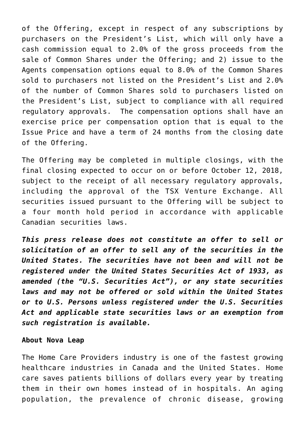of the Offering, except in respect of any subscriptions by purchasers on the President's List, which will only have a cash commission equal to 2.0% of the gross proceeds from the sale of Common Shares under the Offering; and 2) issue to the Agents compensation options equal to 8.0% of the Common Shares sold to purchasers not listed on the President's List and 2.0% of the number of Common Shares sold to purchasers listed on the President's List, subject to compliance with all required regulatory approvals. The compensation options shall have an exercise price per compensation option that is equal to the Issue Price and have a term of 24 months from the closing date of the Offering.

The Offering may be completed in multiple closings, with the final closing expected to occur on or before October 12, 2018, subject to the receipt of all necessary regulatory approvals, including the approval of the TSX Venture Exchange. All securities issued pursuant to the Offering will be subject to a four month hold period in accordance with applicable Canadian securities laws.

*This press release does not constitute an offer to sell or solicitation of an offer to sell any of the securities in the United States. The securities have not been and will not be registered under the United States Securities Act of 1933, as amended (the "U.S. Securities Act"), or any state securities laws and may not be offered or sold within the United States or to U.S. Persons unless registered under the U.S. Securities Act and applicable state securities laws or an exemption from such registration is available.*

## **About Nova Leap**

The Home Care Providers industry is one of the fastest growing healthcare industries in Canada and the United States. Home care saves patients billions of dollars every year by treating them in their own homes instead of in hospitals. An aging population, the prevalence of chronic disease, growing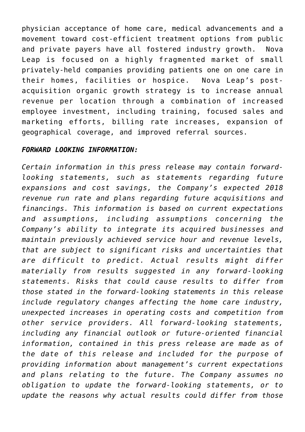physician acceptance of home care, medical advancements and a movement toward cost-efficient treatment options from public and private payers have all fostered industry growth. Nova Leap is focused on a highly fragmented market of small privately-held companies providing patients one on one care in their homes, facilities or hospice. Nova Leap's postacquisition organic growth strategy is to increase annual revenue per location through a combination of increased employee investment, including training, focused sales and marketing efforts, billing rate increases, expansion of geographical coverage, and improved referral sources.

## *FORWARD LOOKING INFORMATION:*

*Certain information in this press release may contain forwardlooking statements, such as statements regarding future expansions and cost savings, the Company's expected 2018 revenue run rate and plans regarding future acquisitions and financings. This information is based on current expectations and assumptions, including assumptions concerning the Company's ability to integrate its acquired businesses and maintain previously achieved service hour and revenue levels, that are subject to significant risks and uncertainties that are difficult to predict. Actual results might differ materially from results suggested in any forward-looking statements. Risks that could cause results to differ from those stated in the forward-looking statements in this release include regulatory changes affecting the home care industry, unexpected increases in operating costs and competition from other service providers. All forward-looking statements, including any financial outlook or future-oriented financial information, contained in this press release are made as of the date of this release and included for the purpose of providing information about management's current expectations and plans relating to the future. The Company assumes no obligation to update the forward-looking statements, or to update the reasons why actual results could differ from those*